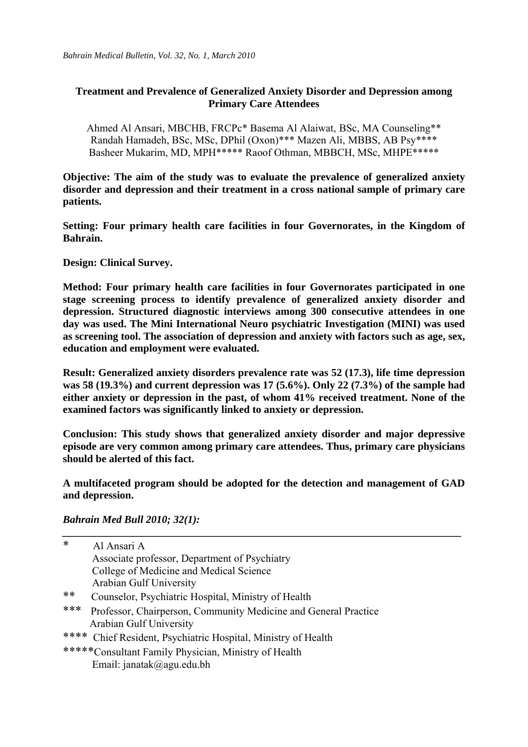### **Treatment and Prevalence of Generalized Anxiety Disorder and Depression among Primary Care Attendees**

Ahmed Al Ansari, MBCHB, FRCPc\* Basema Al Alaiwat, BSc, MA Counseling\*\* Randah Hamadeh, BSc, MSc, DPhil (Oxon)\*\*\* Mazen Ali, MBBS, AB Psy\*\*\*\* Basheer Mukarim, MD, MPH\*\*\*\*\* Raoof Othman, MBBCH, MSc, MHPE\*\*\*\*\*

**Objective: The aim of the study was to evaluate the prevalence of generalized anxiety disorder and depression and their treatment in a cross national sample of primary care patients.** 

**Setting: Four primary health care facilities in four Governorates, in the Kingdom of Bahrain.** 

**Design: Clinical Survey.** 

**Method: Four primary health care facilities in four Governorates participated in one stage screening process to identify prevalence of generalized anxiety disorder and depression. Structured diagnostic interviews among 300 consecutive attendees in one day was used. The Mini International Neuro psychiatric Investigation (MINI) was used as screening tool. The association of depression and anxiety with factors such as age, sex, education and employment were evaluated.** 

**Result: Generalized anxiety disorders prevalence rate was 52 (17.3), life time depression was 58 (19.3%) and current depression was 17 (5.6%). Only 22 (7.3%) of the sample had either anxiety or depression in the past, of whom 41% received treatment. None of the examined factors was significantly linked to anxiety or depression.** 

**Conclusion: This study shows that generalized anxiety disorder and major depressive episode are very common among primary care attendees. Thus, primary care physicians should be alerted of this fact.** 

**A multifaceted program should be adopted for the detection and management of GAD and depression.** 

*\_\_\_\_\_\_\_\_\_\_\_\_\_\_\_\_\_\_\_\_\_\_\_\_\_\_\_\_\_\_\_\_\_\_\_\_\_\_\_\_\_\_\_\_\_\_\_\_\_\_\_\_\_\_\_\_\_\_\_\_\_\_\_\_\_\_\_\_\_\_\_\_\_\_\_*

*Bahrain Med Bull 2010; 32(1):* 

| $\ast$                                                                 | Al Ansari A                                                   |  |  |  |  |
|------------------------------------------------------------------------|---------------------------------------------------------------|--|--|--|--|
|                                                                        | Associate professor, Department of Psychiatry                 |  |  |  |  |
|                                                                        | College of Medicine and Medical Science                       |  |  |  |  |
|                                                                        | <b>Arabian Gulf University</b>                                |  |  |  |  |
| **                                                                     | Counselor, Psychiatric Hospital, Ministry of Health           |  |  |  |  |
| ***<br>Professor, Chairperson, Community Medicine and General Practice |                                                               |  |  |  |  |
|                                                                        | <b>Arabian Gulf University</b>                                |  |  |  |  |
|                                                                        | **** Chief Resident, Psychiatric Hospital, Ministry of Health |  |  |  |  |
|                                                                        | *****Consultant Family Physician, Ministry of Health          |  |  |  |  |
|                                                                        | Email: janatak@agu.edu.bh                                     |  |  |  |  |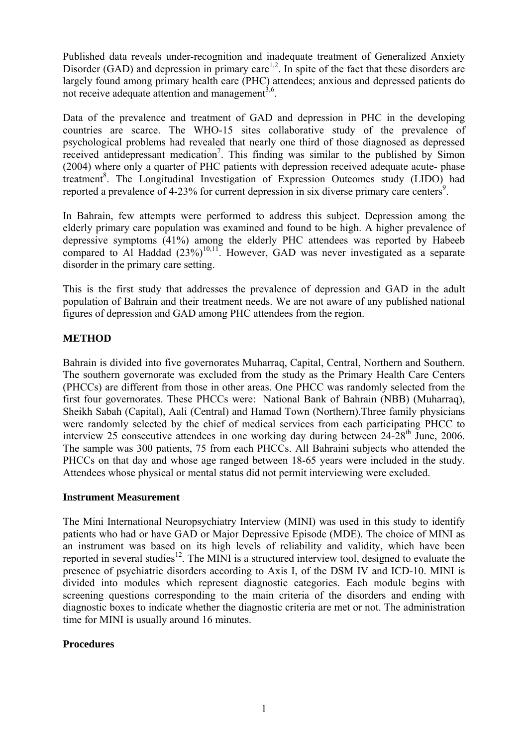Published data reveals under-recognition and inadequate treatment of Generalized Anxiety Disorder  $(GAD)$  and depression in primary care<sup>1,2</sup>. In spite of the fact that these disorders are largely found among primary health care (PHC) attendees; anxious and depressed patients do not receive adequate attention and management<sup>3,6</sup>.

Data of the prevalence and treatment of GAD and depression in PHC in the developing countries are scarce. The WHO-15 sites collaborative study of the prevalence of psychological problems had revealed that nearly one third of those diagnosed as depressed received antidepressant medication<sup>7</sup>. This finding was similar to the published by Simon (2004) where only a quarter of PHC patients with depression received adequate acute- phase treatment<sup>8</sup>. The Longitudinal Investigation of Expression Outcomes study (LIDO) had reported a prevalence of 4-23% for current depression in six diverse primary care centers<sup>9</sup>.

In Bahrain, few attempts were performed to address this subject. Depression among the elderly primary care population was examined and found to be high. A higher prevalence of depressive symptoms (41%) among the elderly PHC attendees was reported by Habeeb compared to Al Haddad  $(23\%)^{10,11}$ . However, GAD was never investigated as a separate disorder in the primary care setting.

This is the first study that addresses the prevalence of depression and GAD in the adult population of Bahrain and their treatment needs. We are not aware of any published national figures of depression and GAD among PHC attendees from the region.

# **METHOD**

Bahrain is divided into five governorates Muharraq, Capital, Central, Northern and Southern. The southern governorate was excluded from the study as the Primary Health Care Centers (PHCCs) are different from those in other areas. One PHCC was randomly selected from the first four governorates. These PHCCs were: National Bank of Bahrain (NBB) (Muharraq), Sheikh Sabah (Capital), Aali (Central) and Hamad Town (Northern).Three family physicians were randomly selected by the chief of medical services from each participating PHCC to interview 25 consecutive attendees in one working day during between  $24-28<sup>th</sup>$  June, 2006. The sample was 300 patients, 75 from each PHCCs. All Bahraini subjects who attended the PHCCs on that day and whose age ranged between 18-65 years were included in the study. Attendees whose physical or mental status did not permit interviewing were excluded.

## **Instrument Measurement**

The Mini International Neuropsychiatry Interview (MINI) was used in this study to identify patients who had or have GAD or Major Depressive Episode (MDE). The choice of MINI as an instrument was based on its high levels of reliability and validity, which have been reported in several studies<sup>12</sup>. The MINI is a structured interview tool, designed to evaluate the presence of psychiatric disorders according to Axis I, of the DSM IV and ICD-10. MINI is divided into modules which represent diagnostic categories. Each module begins with screening questions corresponding to the main criteria of the disorders and ending with diagnostic boxes to indicate whether the diagnostic criteria are met or not. The administration time for MINI is usually around 16 minutes.

## **Procedures**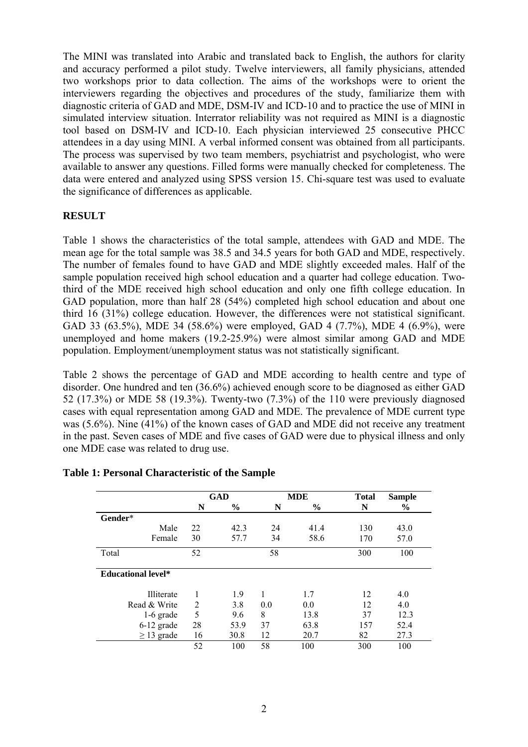The MINI was translated into Arabic and translated back to English, the authors for clarity and accuracy performed a pilot study. Twelve interviewers, all family physicians, attended two workshops prior to data collection. The aims of the workshops were to orient the interviewers regarding the objectives and procedures of the study, familiarize them with diagnostic criteria of GAD and MDE, DSM-IV and ICD-10 and to practice the use of MINI in simulated interview situation. Interrator reliability was not required as MINI is a diagnostic tool based on DSM-IV and ICD-10. Each physician interviewed 25 consecutive PHCC attendees in a day using MINI. A verbal informed consent was obtained from all participants. The process was supervised by two team members, psychiatrist and psychologist, who were available to answer any questions. Filled forms were manually checked for completeness. The data were entered and analyzed using SPSS version 15. Chi-square test was used to evaluate the significance of differences as applicable.

# **RESULT**

Table 1 shows the characteristics of the total sample, attendees with GAD and MDE. The mean age for the total sample was 38.5 and 34.5 years for both GAD and MDE, respectively. The number of females found to have GAD and MDE slightly exceeded males. Half of the sample population received high school education and a quarter had college education. Twothird of the MDE received high school education and only one fifth college education. In GAD population, more than half 28 (54%) completed high school education and about one third 16 (31%) college education. However, the differences were not statistical significant. GAD 33 (63.5%), MDE 34 (58.6%) were employed, GAD 4 (7.7%), MDE 4 (6.9%), were unemployed and home makers (19.2-25.9%) were almost similar among GAD and MDE population. Employment/unemployment status was not statistically significant.

Table 2 shows the percentage of GAD and MDE according to health centre and type of disorder. One hundred and ten (36.6%) achieved enough score to be diagnosed as either GAD 52 (17.3%) or MDE 58 (19.3%). Twenty-two (7.3%) of the 110 were previously diagnosed cases with equal representation among GAD and MDE. The prevalence of MDE current type was (5.6%). Nine (41%) of the known cases of GAD and MDE did not receive any treatment in the past. Seven cases of MDE and five cases of GAD were due to physical illness and only one MDE case was related to drug use.

|                           | <b>GAD</b>     |               |     | <b>MDE</b>    |     | <b>Sample</b> |
|---------------------------|----------------|---------------|-----|---------------|-----|---------------|
|                           | N              | $\frac{6}{6}$ | N   | $\frac{6}{9}$ | N   | $\%$          |
| Gender*                   |                |               |     |               |     |               |
| Male                      | 22             | 42.3          | 24  | 41.4          | 130 | 43.0          |
| Female                    | 30             | 57.7          | 34  | 58.6          | 170 | 57.0          |
| Total                     | 52             |               | 58  |               | 300 | 100           |
| <b>Educational level*</b> |                |               |     |               |     |               |
| Illiterate                |                | 1.9           |     | 1.7           | 12  | 4.0           |
| Read & Write              | $\overline{2}$ | 3.8           | 0.0 | 0.0           | 12  | 4.0           |
| $1-6$ grade               | 5              | 9.6           | 8   | 13.8          | 37  | 12.3          |
| $6-12$ grade              | 28             | 53.9          | 37  | 63.8          | 157 | 52.4          |
| $\geq$ 13 grade           | 16             | 30.8          | 12  | 20.7          | 82  | 27.3          |
|                           | 52             | 100           | 58  | 100           | 300 | 100           |

## **Table 1: Personal Characteristic of the Sample**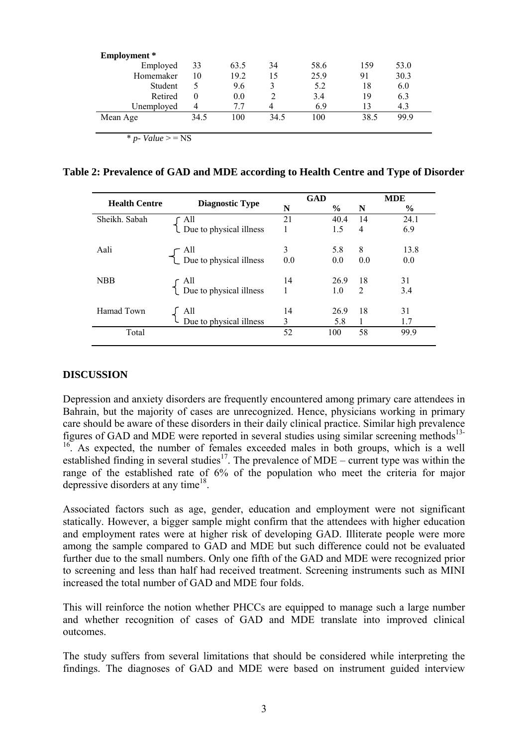| Employment *          |          |      |      |      |      |      |
|-----------------------|----------|------|------|------|------|------|
| Employed              | 33       | 63.5 | 34   | 58.6 | 159  | 53.0 |
| Homemaker             | 10       | 19.2 | 15   | 25.9 | 91   | 30.3 |
| Student               | 5        | 9.6  | 3    | 5.2  | 18   | 6.0  |
| Retired               | $\theta$ | 0.0  |      | 3.4  | 19   | 6.3  |
| Unemployed            | 4        | 7.7  |      | 6.9  | 13   | 4.3  |
| Mean Age              | 34.5     | 100  | 34.5 | 100  | 38.5 | 99.9 |
| $*$ p- Value $>$ = NS |          |      |      |      |      |      |

**Table 2: Prevalence of GAD and MDE according to Health Centre and Type of Disorder** 

|                      |                                                                                                  |                | <b>GAD</b>    | <b>MDE</b>     |               |
|----------------------|--------------------------------------------------------------------------------------------------|----------------|---------------|----------------|---------------|
| <b>Health Centre</b> | <b>Diagnostic Type</b>                                                                           | N              | $\frac{6}{9}$ | N              | $\frac{0}{0}$ |
| Sheikh. Sabah        |                                                                                                  | 21             | 40.4          | 14             | 24.1          |
|                      | $\left\{ \begin{array}{c} \text{All} \\ \text{Due to physical illness} \end{array} \right.$      |                | 1.5           | 4              | 6.9           |
| Aali                 |                                                                                                  | 3              | 5.8           | 8              | 13.8          |
|                      | $\left\{\n\begin{array}{c}\n\text{All} \\ \text{Due to physical illness}\n\end{array}\n\right\}$ | 0.0            | 0.0           | 0.0            | 0.0           |
| <b>NBB</b>           |                                                                                                  | 14             | 26.9          | 18             | 31            |
|                      | $\begin{cases} \text{All} \\ \text{Due to physical illness} \end{cases}$                         | $\mathbf{1}$   | 1.0           | $\overline{2}$ | 3.4           |
| Hamad Town           | All                                                                                              | 14             | 26.9          | 18             | 31            |
|                      | All<br>Due to physical illness                                                                   | $\overline{3}$ | 5.8           |                | 1.7           |
| Total                |                                                                                                  | 52             | 100           | 58             | 99.9          |

#### **DISCUSSION**

Depression and anxiety disorders are frequently encountered among primary care attendees in Bahrain, but the majority of cases are unrecognized. Hence, physicians working in primary care should be aware of these disorders in their daily clinical practice. Similar high prevalence figures of GAD and MDE were reported in several studies using similar screening methods<sup>13-</sup>  $16<sup>16</sup>$ . As expected, the number of females exceeded males in both groups, which is a well established finding in several studies<sup>17</sup>. The prevalence of MDE – current type was within the range of the established rate of 6% of the population who meet the criteria for major depressive disorders at any time<sup>18</sup>.

Associated factors such as age, gender, education and employment were not significant statically. However, a bigger sample might confirm that the attendees with higher education and employment rates were at higher risk of developing GAD. Illiterate people were more among the sample compared to GAD and MDE but such difference could not be evaluated further due to the small numbers. Only one fifth of the GAD and MDE were recognized prior to screening and less than half had received treatment. Screening instruments such as MINI increased the total number of GAD and MDE four folds.

This will reinforce the notion whether PHCCs are equipped to manage such a large number and whether recognition of cases of GAD and MDE translate into improved clinical outcomes.

The study suffers from several limitations that should be considered while interpreting the findings. The diagnoses of GAD and MDE were based on instrument guided interview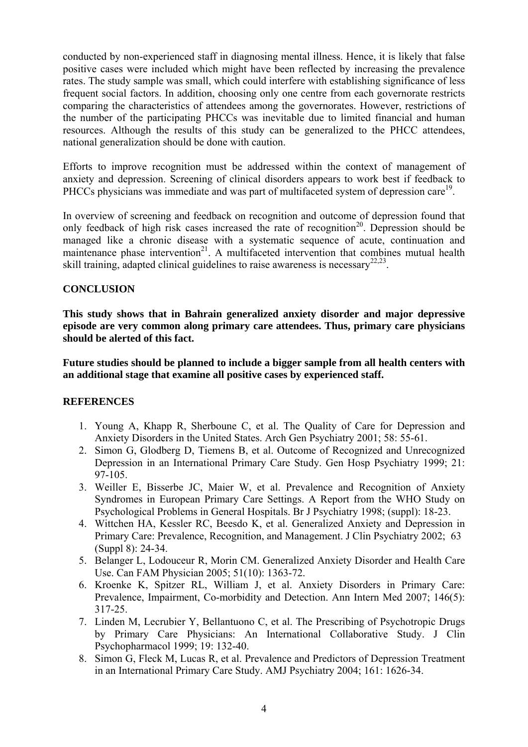conducted by non-experienced staff in diagnosing mental illness. Hence, it is likely that false positive cases were included which might have been reflected by increasing the prevalence rates. The study sample was small, which could interfere with establishing significance of less frequent social factors. In addition, choosing only one centre from each governorate restricts comparing the characteristics of attendees among the governorates. However, restrictions of the number of the participating PHCCs was inevitable due to limited financial and human resources. Although the results of this study can be generalized to the PHCC attendees, national generalization should be done with caution.

Efforts to improve recognition must be addressed within the context of management of anxiety and depression. Screening of clinical disorders appears to work best if feedback to PHCCs physicians was immediate and was part of multifaceted system of depression care<sup>19</sup>.

In overview of screening and feedback on recognition and outcome of depression found that only feedback of high risk cases increased the rate of recognition<sup>20</sup>. Depression should be managed like a chronic disease with a systematic sequence of acute, continuation and maintenance phase intervention<sup>21</sup>. A multifaceted intervention that combines mutual health skill training, adapted clinical guidelines to raise awareness is necessary<sup>22,23</sup>.

## **CONCLUSION**

**This study shows that in Bahrain generalized anxiety disorder and major depressive episode are very common along primary care attendees. Thus, primary care physicians should be alerted of this fact.** 

**Future studies should be planned to include a bigger sample from all health centers with an additional stage that examine all positive cases by experienced staff.** 

#### **REFERENCES**

- 1. Young A, Khapp R, Sherboune C, et al. The Quality of Care for Depression and Anxiety Disorders in the United States. Arch Gen Psychiatry 2001; 58: 55-61.
- 2. Simon G, Glodberg D, Tiemens B, et al. Outcome of Recognized and Unrecognized Depression in an International Primary Care Study. Gen Hosp Psychiatry 1999; 21: 97-105.
- 3. Weiller E, Bisserbe JC, Maier W, et al. Prevalence and Recognition of Anxiety Syndromes in European Primary Care Settings. A Report from the WHO Study on Psychological Problems in General Hospitals. Br J Psychiatry 1998; (suppl): 18-23.
- 4. Wittchen HA, Kessler RC, Beesdo K, et al. Generalized Anxiety and Depression in Primary Care: Prevalence, Recognition, and Management. J Clin Psychiatry 2002; 63 (Suppl 8): 24-34.
- 5. Belanger L, Lodouceur R, Morin CM. Generalized Anxiety Disorder and Health Care Use. Can FAM Physician 2005; 51(10): 1363-72.
- 6. Kroenke K, Spitzer RL, William J, et al. Anxiety Disorders in Primary Care: Prevalence, Impairment, Co-morbidity and Detection. Ann Intern Med 2007; 146(5): 317-25.
- 7. Linden M, Lecrubier Y, Bellantuono C, et al. The Prescribing of Psychotropic Drugs by Primary Care Physicians: An International Collaborative Study. J Clin Psychopharmacol 1999; 19: 132-40.
- 8. Simon G, Fleck M, Lucas R, et al. Prevalence and Predictors of Depression Treatment in an International Primary Care Study. AMJ Psychiatry 2004; 161: 1626-34.